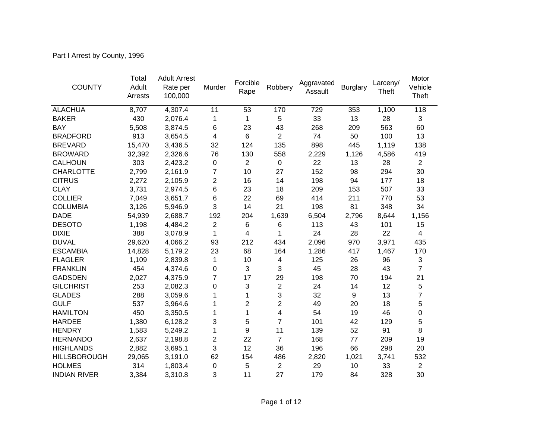Part I Arrest by County, 1996

| <b>COUNTY</b>       | Total<br>Adult<br>Arrests | <b>Adult Arrest</b><br>Rate per<br>100,000 | Murder         | Forcible<br>Rape | Robbery        | Aggravated<br>Assault | <b>Burglary</b> | Larceny/<br>Theft | Motor<br>Vehicle<br>Theft |
|---------------------|---------------------------|--------------------------------------------|----------------|------------------|----------------|-----------------------|-----------------|-------------------|---------------------------|
| <b>ALACHUA</b>      | 8,707                     | 4,307.4                                    | 11             | 53               | 170            | 729                   | 353             | 1,100             | 118                       |
| <b>BAKER</b>        | 430                       | 2,076.4                                    | 1              | 1                | $\sqrt{5}$     | 33                    | 13              | 28                | $\mathbf{3}$              |
| <b>BAY</b>          | 5,508                     | 3,874.5                                    | 6              | 23               | 43             | 268                   | 209             | 563               | 60                        |
| <b>BRADFORD</b>     | 913                       | 3,654.5                                    | 4              | 6                | $\overline{2}$ | 74                    | 50              | 100               | 13                        |
| <b>BREVARD</b>      | 15,470                    | 3,436.5                                    | 32             | 124              | 135            | 898                   | 445             | 1,119             | 138                       |
| <b>BROWARD</b>      | 32,392                    | 2,326.6                                    | 76             | 130              | 558            | 2,229                 | 1,126           | 4,586             | 419                       |
| <b>CALHOUN</b>      | 303                       | 2,423.2                                    | 0              | $\overline{2}$   | $\pmb{0}$      | 22                    | 13              | 28                | $\overline{2}$            |
| <b>CHARLOTTE</b>    | 2,799                     | 2,161.9                                    | 7              | 10               | 27             | 152                   | 98              | 294               | 30                        |
| <b>CITRUS</b>       | 2,272                     | 2,105.9                                    | $\overline{c}$ | 16               | 14             | 198                   | 94              | 177               | 18                        |
| <b>CLAY</b>         | 3,731                     | 2,974.5                                    | 6              | 23               | 18             | 209                   | 153             | 507               | 33                        |
| <b>COLLIER</b>      | 7,049                     | 3,651.7                                    | 6              | 22               | 69             | 414                   | 211             | 770               | 53                        |
| <b>COLUMBIA</b>     | 3,126                     | 5,946.9                                    | 3              | 14               | 21             | 198                   | 81              | 348               | 34                        |
| <b>DADE</b>         | 54,939                    | 2,688.7                                    | 192            | 204              | 1,639          | 6,504                 | 2,796           | 8,644             | 1,156                     |
| <b>DESOTO</b>       | 1,198                     | 4,484.2                                    | $\overline{2}$ | 6                | 6              | 113                   | 43              | 101               | 15                        |
| <b>DIXIE</b>        | 388                       | 3,078.9                                    | $\mathbf{1}$   | 4                | 1              | 24                    | 28              | 22                | $\overline{4}$            |
| <b>DUVAL</b>        | 29,620                    | 4,066.2                                    | 93             | 212              | 434            | 2,096                 | 970             | 3,971             | 435                       |
| <b>ESCAMBIA</b>     | 14,828                    | 5,179.2                                    | 23             | 68               | 164            | 1,286                 | 417             | 1,467             | 170                       |
| <b>FLAGLER</b>      | 1,109                     | 2,839.8                                    | 1              | 10               | 4              | 125                   | 26              | 96                | $\sqrt{3}$                |
| <b>FRANKLIN</b>     | 454                       | 4,374.6                                    | 0              | 3                | 3              | 45                    | 28              | 43                | $\overline{7}$            |
| <b>GADSDEN</b>      | 2,027                     | 4,375.9                                    | 7              | 17               | 29             | 198                   | 70              | 194               | 21                        |
| <b>GILCHRIST</b>    | 253                       | 2,082.3                                    | 0              | 3                | $\overline{2}$ | 24                    | 14              | 12                | 5                         |
| <b>GLADES</b>       | 288                       | 3,059.6                                    | 1              | 1                | 3              | 32                    | 9               | 13                | 7                         |
| <b>GULF</b>         | 537                       | 3,964.6                                    | 1              | $\overline{2}$   | $\overline{2}$ | 49                    | 20              | 18                | 5                         |
| <b>HAMILTON</b>     | 450                       | 3,350.5                                    | 1              | 1                | 4              | 54                    | 19              | 46                | 0                         |
| <b>HARDEE</b>       | 1,380                     | 6,128.2                                    | 3              | 5                | $\overline{7}$ | 101                   | 42              | 129               | 5                         |
| <b>HENDRY</b>       | 1,583                     | 5,249.2                                    | 1              | 9                | 11             | 139                   | 52              | 91                | 8                         |
| <b>HERNANDO</b>     | 2,637                     | 2,198.8                                    | 2              | 22               | $\overline{7}$ | 168                   | 77              | 209               | 19                        |
| <b>HIGHLANDS</b>    | 2,882                     | 3,695.1                                    | 3              | 12               | 36             | 196                   | 66              | 298               | 20                        |
| <b>HILLSBOROUGH</b> | 29,065                    | 3,191.0                                    | 62             | 154              | 486            | 2,820                 | 1,021           | 3,741             | 532                       |
| <b>HOLMES</b>       | 314                       | 1,803.4                                    | 0              | 5                | $\overline{2}$ | 29                    | 10              | 33                | $\overline{2}$            |
| <b>INDIAN RIVER</b> | 3,384                     | 3,310.8                                    | 3              | 11               | 27             | 179                   | 84              | 328               | 30                        |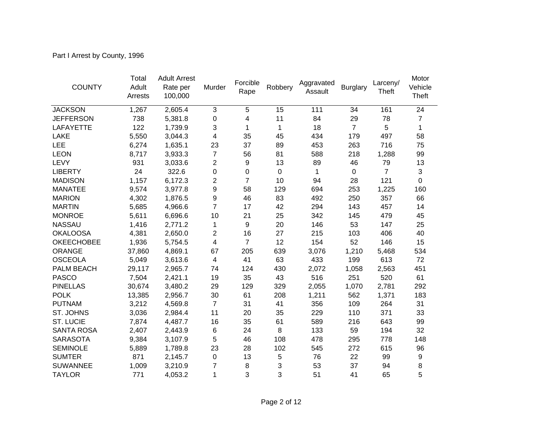Part I Arrest by County, 1996

| <b>COUNTY</b>     | Total<br>Adult<br>Arrests | <b>Adult Arrest</b><br>Rate per<br>100,000 | Murder         | Forcible<br>Rape | Robbery     | Aggravated<br>Assault | <b>Burglary</b> | Larceny/<br>Theft | Motor<br>Vehicle<br>Theft |
|-------------------|---------------------------|--------------------------------------------|----------------|------------------|-------------|-----------------------|-----------------|-------------------|---------------------------|
| <b>JACKSON</b>    | 1,267                     | 2,605.4                                    | 3              | $\overline{5}$   | 15          | 111                   | 34              | 161               | 24                        |
| <b>JEFFERSON</b>  | 738                       | 5,381.8                                    | $\mathbf 0$    | 4                | 11          | 84                    | 29              | 78                | $\overline{7}$            |
| LAFAYETTE         | 122                       | 1,739.9                                    | 3              | $\mathbf 1$      | 1           | 18                    | $\overline{7}$  | 5                 | 1                         |
| LAKE              | 5,550                     | 3,044.3                                    | 4              | 35               | 45          | 434                   | 179             | 497               | 58                        |
| <b>LEE</b>        | 6,274                     | 1,635.1                                    | 23             | 37               | 89          | 453                   | 263             | 716               | 75                        |
| <b>LEON</b>       | 8,717                     | 3,933.3                                    | $\overline{7}$ | 56               | 81          | 588                   | 218             | 1,288             | 99                        |
| LEVY              | 931                       | 3,033.6                                    | $\overline{c}$ | 9                | 13          | 89                    | 46              | 79                | 13                        |
| <b>LIBERTY</b>    | 24                        | 322.6                                      | $\mathbf 0$    | 0                | $\mathbf 0$ | 1                     | $\mathbf 0$     | $\overline{7}$    | 3                         |
| <b>MADISON</b>    | 1,157                     | 6,172.3                                    | $\overline{2}$ | $\overline{7}$   | 10          | 94                    | 28              | 121               | $\mathbf 0$               |
| <b>MANATEE</b>    | 9,574                     | 3,977.8                                    | 9              | 58               | 129         | 694                   | 253             | 1,225             | 160                       |
| <b>MARION</b>     | 4,302                     | 1,876.5                                    | 9              | 46               | 83          | 492                   | 250             | 357               | 66                        |
| <b>MARTIN</b>     | 5,685                     | 4,966.6                                    | $\overline{7}$ | 17               | 42          | 294                   | 143             | 457               | 14                        |
| <b>MONROE</b>     | 5,611                     | 6,696.6                                    | 10             | 21               | 25          | 342                   | 145             | 479               | 45                        |
| <b>NASSAU</b>     | 1,416                     | 2,771.2                                    | 1              | 9                | 20          | 146                   | 53              | 147               | 25                        |
| <b>OKALOOSA</b>   | 4,381                     | 2,650.0                                    | 2              | 16               | 27          | 215                   | 103             | 406               | 40                        |
| <b>OKEECHOBEE</b> | 1,936                     | 5,754.5                                    | 4              | $\overline{7}$   | 12          | 154                   | 52              | 146               | 15                        |
| <b>ORANGE</b>     | 37,860                    | 4,869.1                                    | 67             | 205              | 639         | 3,076                 | 1,210           | 5,468             | 534                       |
| <b>OSCEOLA</b>    | 5,049                     | 3,613.6                                    | 4              | 41               | 63          | 433                   | 199             | 613               | 72                        |
| <b>PALM BEACH</b> | 29,117                    | 2,965.7                                    | 74             | 124              | 430         | 2,072                 | 1,058           | 2,563             | 451                       |
| <b>PASCO</b>      | 7,504                     | 2,421.1                                    | 19             | 35               | 43          | 516                   | 251             | 520               | 61                        |
| <b>PINELLAS</b>   | 30,674                    | 3,480.2                                    | 29             | 129              | 329         | 2,055                 | 1,070           | 2,781             | 292                       |
| <b>POLK</b>       | 13,385                    | 2,956.7                                    | 30             | 61               | 208         | 1,211                 | 562             | 1,371             | 183                       |
| <b>PUTNAM</b>     | 3,212                     | 4,569.8                                    | $\overline{7}$ | 31               | 41          | 356                   | 109             | 264               | 31                        |
| ST. JOHNS         | 3,036                     | 2,984.4                                    | 11             | 20               | 35          | 229                   | 110             | 371               | 33                        |
| <b>ST. LUCIE</b>  | 7,874                     | 4,487.7                                    | 16             | 35               | 61          | 589                   | 216             | 643               | 99                        |
| SANTA ROSA        | 2,407                     | 2,443.9                                    | 6              | 24               | 8           | 133                   | 59              | 194               | 32                        |
| <b>SARASOTA</b>   | 9,384                     | 3,107.9                                    | 5              | 46               | 108         | 478                   | 295             | 778               | 148                       |
| <b>SEMINOLE</b>   | 5,889                     | 1,789.8                                    | 23             | 28               | 102         | 545                   | 272             | 615               | 96                        |
| <b>SUMTER</b>     | 871                       | 2,145.7                                    | 0              | 13               | 5           | 76                    | 22              | 99                | 9                         |
| <b>SUWANNEE</b>   | 1,009                     | 3,210.9                                    | $\overline{7}$ | 8                | 3           | 53                    | 37              | 94                | 8                         |
| <b>TAYLOR</b>     | 771                       | 4,053.2                                    | 1              | 3                | 3           | 51                    | 41              | 65                | 5                         |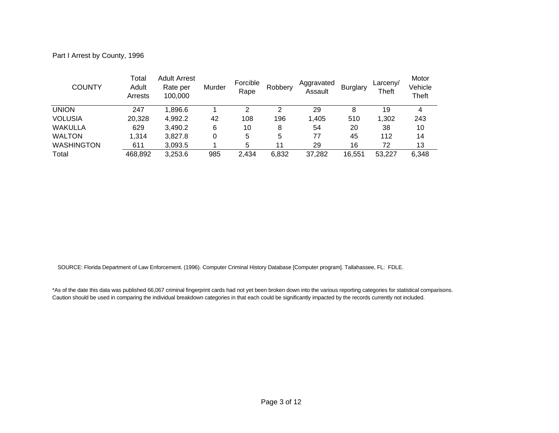Part I Arrest by County, 1996

| <b>COUNTY</b>     | Total<br>Adult<br>Arrests | <b>Adult Arrest</b><br>Rate per<br>100,000 | Murder | Forcible<br>Rape | Robbery | Aggravated<br>Assault | <b>Burglary</b> | Larceny/<br>Theft | Motor<br>Vehicle<br>Theft |
|-------------------|---------------------------|--------------------------------------------|--------|------------------|---------|-----------------------|-----------------|-------------------|---------------------------|
| <b>UNION</b>      | 247                       | 1.896.6                                    |        | $\overline{2}$   | 2       | 29                    | 8               | 19                | 4                         |
| <b>VOLUSIA</b>    | 20,328                    | 4,992.2                                    | 42     | 108              | 196     | 1,405                 | 510             | 1,302             | 243                       |
| <b>WAKULLA</b>    | 629                       | 3,490.2                                    | 6      | 10               | 8       | 54                    | 20              | 38                | 10                        |
| <b>WALTON</b>     | 1.314                     | 3,827.8                                    | 0      | 5                | 5       | 77                    | 45              | 112               | 14                        |
| <b>WASHINGTON</b> | 611                       | 3,093.5                                    |        | 5                | 11      | 29                    | 16              | 72                | 13                        |
| Total             | 468,892                   | 3,253.6                                    | 985    | 2,434            | 6,832   | 37,282                | 16,551          | 53.227            | 6,348                     |

SOURCE: Florida Department of Law Enforcement. (1996). Computer Criminal History Database [Computer program]. Tallahassee, FL: FDLE.

\*As of the date this data was published 66,067 criminal fingerprint cards had not yet been broken down into the various reporting categories for statistical comparisons. Caution should be used in comparing the individual breakdown categories in that each could be significantly impacted by the records currently not included.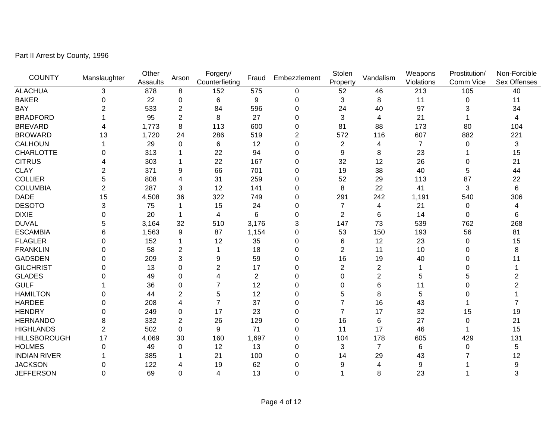Part II Arrest by County, 1996

| <b>COUNTY</b>       |              | Other    |                | Forgery/       | Fraud          | Embezzlement   | Stolen         | Vandalism      | Weapons        | Prostitution/ | Non-Forcible   |
|---------------------|--------------|----------|----------------|----------------|----------------|----------------|----------------|----------------|----------------|---------------|----------------|
|                     | Manslaughter | Assaults | Arson          | Counterfieting |                |                | Property       |                | Violations     | Comm Vice     | Sex Offenses   |
| <b>ALACHUA</b>      | 3            | 878      | 8              | 152            | 575            | 0              | 52             | 46             | 213            | 105           | 40             |
| <b>BAKER</b>        | $\Omega$     | 22       | 0              | 6              | 9              | 0              | 3              | 8              | 11             | $\mathbf 0$   | 11             |
| <b>BAY</b>          | 2            | 533      | 2              | 84             | 596            | 0              | 24             | 40             | 97             | 3             | 34             |
| <b>BRADFORD</b>     |              | 95       | 2              | 8              | 27             | 0              | 3              | 4              | 21             | 1             | 4              |
| <b>BREVARD</b>      |              | 1,773    | 8              | 113            | 600            | 0              | 81             | 88             | 173            | 80            | 104            |
| <b>BROWARD</b>      | 13           | 1,720    | 24             | 286            | 519            | $\overline{2}$ | 572            | 116            | 607            | 882           | 221            |
| CALHOUN             |              | 29       | 0              | 6              | 12             | 0              | $\overline{c}$ | 4              | $\overline{7}$ | 0             | 3              |
| <b>CHARLOTTE</b>    | $\Omega$     | 313      |                | 22             | 94             | 0              | 9              | 8              | 23             |               | 15             |
| <b>CITRUS</b>       |              | 303      |                | 22             | 167            | 0              | 32             | 12             | 26             | 0             | 21             |
| <b>CLAY</b>         | 2            | 371      | 9              | 66             | 701            | 0              | 19             | 38             | 40             | 5             | 44             |
| <b>COLLIER</b>      | 5            | 808      | 4              | 31             | 259            | 0              | 52             | 29             | 113            | 87            | 22             |
| <b>COLUMBIA</b>     | 2            | 287      | 3              | 12             | 141            | 0              | 8              | 22             | 41             | 3             | 6              |
| <b>DADE</b>         | 15           | 4,508    | 36             | 322            | 749            | 0              | 291            | 242            | 1,191          | 540           | 306            |
| <b>DESOTO</b>       | 3            | 75       |                | 15             | 24             | 0              | 7              | 4              | 21             | 0             | 4              |
| <b>DIXIE</b>        | $\Omega$     | 20       | 1              | 4              | 6              | 0              | $\overline{2}$ | 6              | 14             | $\Omega$      | 6              |
| <b>DUVAL</b>        | 5            | 3,164    | 32             | 510            | 3,176          | 3              | 147            | 73             | 539            | 762           | 268            |
| <b>ESCAMBIA</b>     | 6            | 1,563    | 9              | 87             | 1,154          | 0              | 53             | 150            | 193            | 56            | 81             |
| <b>FLAGLER</b>      | $\Omega$     | 152      |                | 12             | 35             | 0              | 6              | 12             | 23             | 0             | 15             |
| <b>FRANKLIN</b>     | $\Omega$     | 58       | $\overline{2}$ |                | 18             | 0              | $\overline{2}$ | 11             | 10             | $\Omega$      | 8              |
| <b>GADSDEN</b>      | 0            | 209      | 3              | 9              | 59             | 0              | 16             | 19             | 40             | 0             | 11             |
| <b>GILCHRIST</b>    | 0            | 13       | 0              | 2              | 17             | 0              | $\overline{2}$ | $\overline{2}$ |                | 0             |                |
| <b>GLADES</b>       | O            | 49       | $\Omega$       | 4              | $\overline{c}$ | 0              | 0              | 2              | 5              | 5             | 2              |
| <b>GULF</b>         |              | 36       | $\Omega$       |                | 12             | 0              | 0              | 6              | 11             | $\Omega$      | $\overline{c}$ |
| <b>HAMILTON</b>     | 0            | 44       | $\overline{2}$ | 5              | 12             | 0              | 5              | 8              | 5              | 0             |                |
| <b>HARDEE</b>       | $\Omega$     | 208      | 4              | $\overline{7}$ | 37             | 0              |                | 16             | 43             |               |                |
| <b>HENDRY</b>       | $\Omega$     | 249      | $\mathbf 0$    | 17             | 23             | 0              | 7              | 17             | 32             | 15            | 19             |
| <b>HERNANDO</b>     | 8            | 332      | $\overline{2}$ | 26             | 129            | 0              | 16             | 6              | 27             | 0             | 21             |
| <b>HIGHLANDS</b>    | 2            | 502      | $\mathbf 0$    | 9              | 71             | 0              | 11             | 17             | 46             |               | 15             |
| <b>HILLSBOROUGH</b> | 17           | 4,069    | 30             | 160            | 1,697          | 0              | 104            | 178            | 605            | 429           | 131            |
| <b>HOLMES</b>       | $\Omega$     | 49       | 0              | 12             | 13             | 0              | 3              | $\overline{7}$ | 6              | 0             | 5              |
| <b>INDIAN RIVER</b> |              | 385      |                | 21             | 100            | 0              | 14             | 29             | 43             |               | 12             |
| <b>JACKSON</b>      | O            | 122      | 4              | 19             | 62             | 0              | 9              | 4              | 9              |               | 9              |
| <b>JEFFERSON</b>    | $\Omega$     | 69       | $\overline{0}$ | 4              | 13             | 0              |                | 8              | 23             |               | 3              |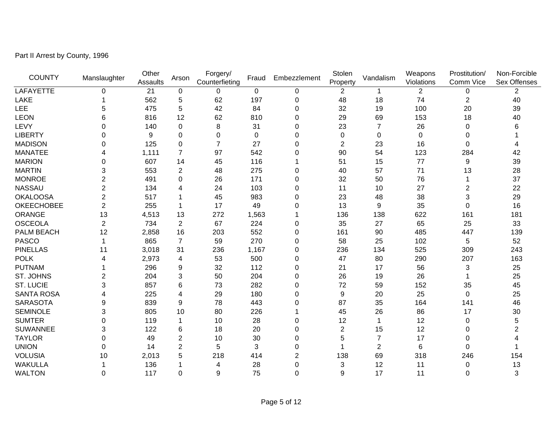Part II Arrest by County, 1996

| <b>COUNTY</b>     |                | Other    |                | Forgery/       |             |                | Stolen         |                | Weapons      | Prostitution/  | Non-Forcible   |
|-------------------|----------------|----------|----------------|----------------|-------------|----------------|----------------|----------------|--------------|----------------|----------------|
|                   | Manslaughter   | Assaults | Arson          | Counterfieting | Fraud       | Embezzlement   | Property       | Vandalism      | Violations   | Comm Vice      | Sex Offenses   |
| LAFAYETTE         | $\mathbf 0$    | 21       | $\pmb{0}$      | 0              | $\mathbf 0$ | 0              | 2              | 1              | $\mathbf{2}$ | 0              | 2              |
| <b>LAKE</b>       |                | 562      | 5              | 62             | 197         | 0              | 48             | 18             | 74           | $\overline{c}$ | 40             |
| <b>LEE</b>        | 5              | 475      | 5              | 42             | 84          | 0              | 32             | 19             | 100          | 20             | 39             |
| <b>LEON</b>       | 6              | 816      | 12             | 62             | 810         | 0              | 29             | 69             | 153          | 18             | 40             |
| LEVY              | $\Omega$       | 140      | 0              | 8              | 31          | 0              | 23             | $\overline{7}$ | 26           | 0              | 6              |
| <b>LIBERTY</b>    | 0              | 9        | 0              | 0              | 0           | 0              | 0              | $\Omega$       | $\pmb{0}$    | 0              |                |
| <b>MADISON</b>    | 0              | 125      | 0              | 7              | 27          | 0              | $\overline{2}$ | 23             | 16           | 0              | 4              |
| <b>MANATEE</b>    |                | 1,111    | $\overline{7}$ | 97             | 542         | 0              | 90             | 54             | 123          | 284            | 42             |
| <b>MARION</b>     | 0              | 607      | 14             | 45             | 116         |                | 51             | 15             | 77           | 9              | 39             |
| <b>MARTIN</b>     | 3              | 553      | 2              | 48             | 275         | 0              | 40             | 57             | 71           | 13             | 28             |
| <b>MONROE</b>     | 2              | 491      | 0              | 26             | 171         | 0              | 32             | 50             | 76           | 1              | 37             |
| <b>NASSAU</b>     | $\overline{2}$ | 134      | 4              | 24             | 103         | 0              | 11             | 10             | 27           | $\overline{c}$ | 22             |
| <b>OKALOOSA</b>   | $\overline{2}$ | 517      |                | 45             | 983         | 0              | 23             | 48             | 38           | 3              | 29             |
| <b>OKEECHOBEE</b> | $\overline{2}$ | 255      | 1              | 17             | 49          | 0              | 13             | 9              | 35           | 0              | 16             |
| <b>ORANGE</b>     | 13             | 4,513    | 13             | 272            | 1,563       |                | 136            | 138            | 622          | 161            | 181            |
| <b>OSCEOLA</b>    | $\overline{2}$ | 734      | $\overline{2}$ | 67             | 224         | 0              | 35             | 27             | 65           | 25             | 33             |
| PALM BEACH        | 12             | 2,858    | 16             | 203            | 552         | 0              | 161            | 90             | 485          | 447            | 139            |
| <b>PASCO</b>      |                | 865      | $\overline{7}$ | 59             | 270         | 0              | 58             | 25             | 102          | 5              | 52             |
| <b>PINELLAS</b>   | 11             | 3,018    | 31             | 236            | 1,167       | 0              | 236            | 134            | 525          | 309            | 243            |
| <b>POLK</b>       | 4              | 2,973    | 4              | 53             | 500         | 0              | 47             | 80             | 290          | 207            | 163            |
| <b>PUTNAM</b>     |                | 296      | 9              | 32             | 112         | 0              | 21             | 17             | 56           | 3              | 25             |
| <b>ST. JOHNS</b>  | 2              | 204      | 3              | 50             | 204         | 0              | 26             | 19             | 26           | 1              | 25             |
| <b>ST. LUCIE</b>  | 3              | 857      | 6              | 73             | 282         | 0              | 72             | 59             | 152          | 35             | 45             |
| <b>SANTA ROSA</b> | 4              | 225      | 4              | 29             | 180         | 0              | 9              | 20             | 25           | $\Omega$       | 25             |
| <b>SARASOTA</b>   | 9              | 839      | 9              | 78             | 443         | 0              | 87             | 35             | 164          | 141            | 46             |
| <b>SEMINOLE</b>   | 3              | 805      | 10             | 80             | 226         |                | 45             | 26             | 86           | 17             | 30             |
| <b>SUMTER</b>     | 0              | 119      |                | 10             | 28          | 0              | 12             |                | 12           | 0              | 5              |
| <b>SUWANNEE</b>   | 3              | 122      | 6              | 18             | 20          | 0              | $\overline{c}$ | 15             | 12           | 0              | $\overline{2}$ |
| <b>TAYLOR</b>     | 0              | 49       | $\overline{2}$ | 10             | 30          | 0              | 5              | 7              | 17           | 0              |                |
| <b>UNION</b>      | 0              | 14       | $\overline{2}$ | 5              | 3           | $\Omega$       |                | $\overline{2}$ | 6            | $\Omega$       |                |
| <b>VOLUSIA</b>    | 10             | 2,013    | 5              | 218            | 414         | 2              | 138            | 69             | 318          | 246            | 154            |
| <b>WAKULLA</b>    |                | 136      |                | 4              | 28          | 0              | 3              | 12             | 11           | 0              | 13             |
| <b>WALTON</b>     | $\mathbf 0$    | 117      | 0              | 9              | 75          | $\overline{0}$ | 9              | 17             | 11           | $\Omega$       | 3              |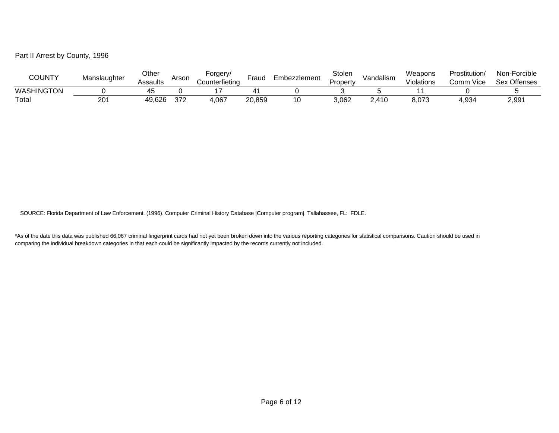## Part II Arrest by County, 1996

| COUNTY            | Manslaughter    | Other<br>Assaults | Arson | oraerv/<br>Counterfietina | -rauc  | Embezzlement | Stolen<br>Property | Vandalism | Weapons<br>Violations | Prostitution/<br>∴omm<br>⊢Vice | Non-Forcible<br>Sex Offenses |
|-------------------|-----------------|-------------------|-------|---------------------------|--------|--------------|--------------------|-----------|-----------------------|--------------------------------|------------------------------|
| <b>WASHINGTON</b> |                 | 45                |       |                           |        |              |                    |           |                       |                                |                              |
| Totai             | 20 <sup>2</sup> | 49,626            | 372   | 4,067                     | 20,859 | 10           | 3,062              | 2,410     | 8,073                 | .934ء                          | 2,991                        |

SOURCE: Florida Department of Law Enforcement. (1996). Computer Criminal History Database [Computer program]. Tallahassee, FL: FDLE.

\*As of the date this data was published 66,067 criminal fingerprint cards had not yet been broken down into the various reporting categories for statistical comparisons. Caution should be used in comparing the individual breakdown categories in that each could be significantly impacted by the records currently not included.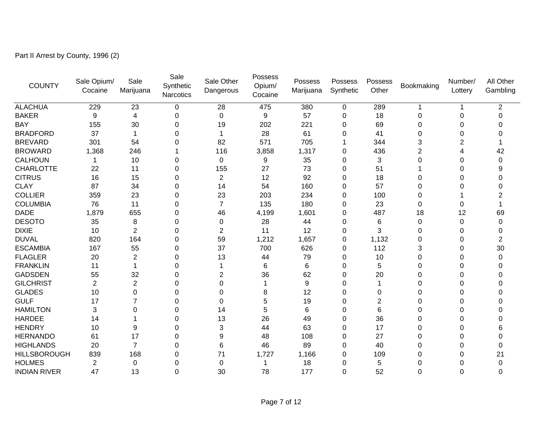Part II Arrest by County, 1996 (2)

| <b>COUNTY</b>       | Sale Opium/<br>Cocaine | Sale<br>Marijuana | Sale<br>Synthetic<br><b>Narcotics</b> | Sale Other<br>Dangerous | Possess<br>Opium/<br>Cocaine | Possess<br>Marijuana | Possess<br>Synthetic | Possess<br>Other | Bookmaking | Number/<br>Lottery | All Other<br>Gambling |
|---------------------|------------------------|-------------------|---------------------------------------|-------------------------|------------------------------|----------------------|----------------------|------------------|------------|--------------------|-----------------------|
| <b>ALACHUA</b>      | 229                    | 23                | 0                                     | 28                      | 475                          | 380                  | $\mathbf 0$          | 289              |            |                    | 2                     |
| <b>BAKER</b>        | 9                      | 4                 | 0                                     | 0                       | 9                            | 57                   | 0                    | 18               | 0          | 0                  | $\Omega$              |
| <b>BAY</b>          | 155                    | 30                | 0                                     | 19                      | 202                          | 221                  | 0                    | 69               | 0          | 0                  |                       |
| <b>BRADFORD</b>     | 37                     |                   | 0                                     |                         | 28                           | 61                   | 0                    | 41               | 0          | 0                  |                       |
| <b>BREVARD</b>      | 301                    | 54                | 0                                     | 82                      | 571                          | 705                  |                      | 344              | 3          | 2                  |                       |
| <b>BROWARD</b>      | 1,368                  | 246               |                                       | 116                     | 3,858                        | 1,317                | $\Omega$             | 436              | 2          | 4                  | 42                    |
| <b>CALHOUN</b>      |                        | 10                | 0                                     | 0                       | 9                            | 35                   | 0                    | 3                | 0          | 0                  | $\Omega$              |
| <b>CHARLOTTE</b>    | 22                     | 11                | 0                                     | 155                     | 27                           | 73                   | 0                    | 51               |            | 0                  |                       |
| <b>CITRUS</b>       | 16                     | 15                | 0                                     | $\overline{2}$          | 12                           | 92                   | 0                    | 18               | 0          | 0                  | ∩                     |
| <b>CLAY</b>         | 87                     | 34                | 0                                     | 14                      | 54                           | 160                  | $\Omega$             | 57               | 0          | 0                  |                       |
| <b>COLLIER</b>      | 359                    | 23                | 0                                     | 23                      | 203                          | 234                  | $\Omega$             | 100              | 0          |                    |                       |
| <b>COLUMBIA</b>     | 76                     | 11                | 0                                     | $\overline{7}$          | 135                          | 180                  | 0                    | 23               | 0          | 0                  |                       |
| <b>DADE</b>         | 1,879                  | 655               | 0                                     | 46                      | 4,199                        | 1,601                | 0                    | 487              | 18         | 12                 | 69                    |
| <b>DESOTO</b>       | 35                     | 8                 | 0                                     | 0                       | 28                           | 44                   | 0                    | 6                | 0          | $\Omega$           | $\Omega$              |
| <b>DIXIE</b>        | 10                     | $\overline{2}$    | 0                                     | $\overline{2}$          | 11                           | 12                   | $\Omega$             | 3                | $\Omega$   | 0                  |                       |
| <b>DUVAL</b>        | 820                    | 164               | 0                                     | 59                      | 1,212                        | 1,657                | 0                    | 1,132            | 0          | 0                  | 2                     |
| <b>ESCAMBIA</b>     | 167                    | 55                | 0                                     | 37                      | 700                          | 626                  | 0                    | 112              | 3          | 0                  | 30                    |
| <b>FLAGLER</b>      | 20                     | $\overline{2}$    | 0                                     | 13                      | 44                           | 79                   | 0                    | 10               | 0          | 0                  | 0                     |
| <b>FRANKLIN</b>     | 11                     |                   | 0                                     |                         | 6                            | 6                    | 0                    | 5                | 0          | 0                  |                       |
| <b>GADSDEN</b>      | 55                     | 32                | 0                                     | 2                       | 36                           | 62                   | $\Omega$             | 20               | $\Omega$   | 0                  |                       |
| <b>GILCHRIST</b>    | 2                      | $\overline{c}$    | 0                                     | 0                       |                              | 9                    | 0                    |                  | 0          | 0                  |                       |
| <b>GLADES</b>       | 10                     | 0                 | 0                                     | 0                       | 8                            | 12                   | 0                    | 0                | 0          | 0                  |                       |
| <b>GULF</b>         | 17                     | 7                 | 0                                     | 0                       | 5                            | 19                   | 0                    | 2                | 0          | 0                  |                       |
| <b>HAMILTON</b>     | 3                      | $\Omega$          | 0                                     | 14                      | 5                            | 6                    | $\Omega$             | 6                | 0          | 0                  |                       |
| <b>HARDEE</b>       | 14                     |                   | 0                                     | 13                      | 26                           | 49                   | $\Omega$             | 36               | 0          | 0                  |                       |
| <b>HENDRY</b>       | 10                     | 9                 | 0                                     | 3                       | 44                           | 63                   | 0                    | 17               | 0          | 0                  |                       |
| <b>HERNANDO</b>     | 61                     | 17                | 0                                     | 9                       | 48                           | 108                  | 0                    | 27               | 0          | 0                  | 0                     |
| <b>HIGHLANDS</b>    | 20                     | $\overline{7}$    | 0                                     | 6                       | 46                           | 89                   | $\Omega$             | 40               | $\Omega$   | 0                  | $\Omega$              |
| <b>HILLSBOROUGH</b> | 839                    | 168               | 0                                     | 71                      | 1,727                        | 1,166                | 0                    | 109              | 0          | 0                  | 21                    |
| <b>HOLMES</b>       | $\overline{2}$         | 0                 | 0                                     | 0                       |                              | 18                   | 0                    | 5                | 0          | 0                  | $\Omega$              |
| <b>INDIAN RIVER</b> | 47                     | 13                | $\Omega$                              | 30                      | 78                           | 177                  | $\Omega$             | 52               | $\Omega$   | 0                  | 0                     |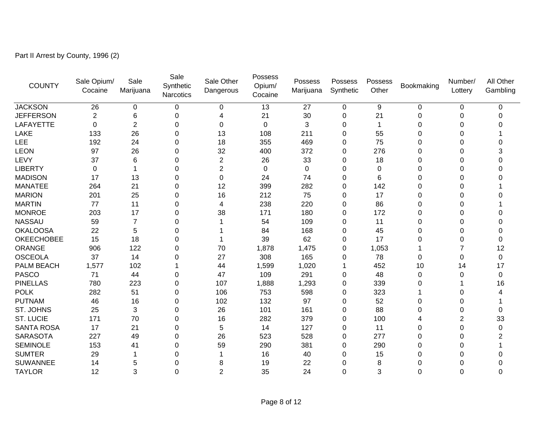Part II Arrest by County, 1996 (2)

| <b>COUNTY</b>     | Sale Opium/<br>Cocaine | Sale<br>Marijuana | Sale<br>Synthetic<br>Narcotics | Sale Other<br>Dangerous | Possess<br>Opium/<br>Cocaine | Possess<br>Marijuana | Possess<br>Synthetic | Possess<br>Other | Bookmaking | Number/<br>Lottery | All Other<br>Gambling |
|-------------------|------------------------|-------------------|--------------------------------|-------------------------|------------------------------|----------------------|----------------------|------------------|------------|--------------------|-----------------------|
| <b>JACKSON</b>    | 26                     | 0                 | 0                              | 0                       | 13                           | 27                   | 0                    | 9                | 0          | 0                  | $\Omega$              |
| <b>JEFFERSON</b>  | $\overline{c}$         | 6                 | 0                              | Δ                       | 21                           | 30                   | 0                    | 21               | $\Omega$   | 0                  | O                     |
| LAFAYETTE         | 0                      | $\overline{c}$    | 0                              | 0                       | 0                            | 3                    | 0                    |                  | 0          | 0                  |                       |
| LAKE              | 133                    | 26                | 0                              | 13                      | 108                          | 211                  | $\Omega$             | 55               | 0          | 0                  |                       |
| <b>LEE</b>        | 192                    | 24                | 0                              | 18                      | 355                          | 469                  | 0                    | 75               | 0          | 0                  |                       |
| <b>LEON</b>       | 97                     | 26                | 0                              | 32                      | 400                          | 372                  | 0                    | 276              | 0          | 0                  |                       |
| LEVY              | 37                     | 6                 | 0                              | $\overline{2}$          | 26                           | 33                   | $\Omega$             | 18               | 0          | 0                  | O                     |
| <b>LIBERTY</b>    | 0                      |                   | 0                              | $\overline{2}$          | 0                            | 0                    | 0                    | 0                | 0          | 0                  | O                     |
| <b>MADISON</b>    | 17                     | 13                | 0                              | $\Omega$                | 24                           | 74                   | $\Omega$             | 6                | 0          | 0                  |                       |
| <b>MANATEE</b>    | 264                    | 21                | 0                              | 12                      | 399                          | 282                  | 0                    | 142              | 0          | 0                  |                       |
| <b>MARION</b>     | 201                    | 25                | 0                              | 16                      | 212                          | 75                   | 0                    | 17               | 0          | 0                  |                       |
| <b>MARTIN</b>     | 77                     | 11                | 0                              | 4                       | 238                          | 220                  | $\Omega$             | 86               | 0          | 0                  |                       |
| <b>MONROE</b>     | 203                    | 17                | 0                              | 38                      | 171                          | 180                  | 0                    | 172              | 0          | $\Omega$           |                       |
| <b>NASSAU</b>     | 59                     | 7                 | 0                              |                         | 54                           | 109                  | 0                    | 11               | 0          | 0                  |                       |
| <b>OKALOOSA</b>   | 22                     | 5                 | 0                              |                         | 84                           | 168                  | 0                    | 45               | 0          | 0                  |                       |
| <b>OKEECHOBEE</b> | 15                     | 18                | 0                              |                         | 39                           | 62                   | 0                    | 17               | 0          | 0                  | 0                     |
| <b>ORANGE</b>     | 906                    | 122               | 0                              | 70                      | 1,878                        | 1,475                | 0                    | 1,053            |            | 7                  | 12                    |
| <b>OSCEOLA</b>    | 37                     | 14                | 0                              | 27                      | 308                          | 165                  | 0                    | 78               | 0          | 0                  | $\mathbf{0}$          |
| PALM BEACH        | 1,577                  | 102               |                                | 44                      | 1,599                        | 1,020                |                      | 452              | 10         | 14                 | 17                    |
| <b>PASCO</b>      | 71                     | 44                | 0                              | 47                      | 109                          | 291                  | 0                    | 48               | $\Omega$   | $\Omega$           | $\Omega$              |
| <b>PINELLAS</b>   | 780                    | 223               | 0                              | 107                     | 1,888                        | 1,293                | 0                    | 339              | 0          |                    | 16                    |
| <b>POLK</b>       | 282                    | 51                | 0                              | 106                     | 753                          | 598                  | 0                    | 323              |            | 0                  |                       |
| <b>PUTNAM</b>     | 46                     | 16                | 0                              | 102                     | 132                          | 97                   | 0                    | 52               | 0          | 0                  |                       |
| ST. JOHNS         | 25                     | 3                 | 0                              | 26                      | 101                          | 161                  | 0                    | 88               | 0          | $\Omega$           | 0                     |
| <b>ST. LUCIE</b>  | 171                    | 70                | 0                              | 16                      | 282                          | 379                  | 0                    | 100              |            | $\overline{2}$     | 33                    |
| <b>SANTA ROSA</b> | 17                     | 21                | 0                              | $\sqrt{5}$              | 14                           | 127                  | 0                    | 11               | 0          | 0                  | 0                     |
| <b>SARASOTA</b>   | 227                    | 49                | 0                              | 26                      | 523                          | 528                  | 0                    | 277              | 0          | 0                  |                       |
| <b>SEMINOLE</b>   | 153                    | 41                | 0                              | 59                      | 290                          | 381                  | 0                    | 290              | 0          | 0                  |                       |
| <b>SUMTER</b>     | 29                     |                   | 0                              |                         | 16                           | 40                   | 0                    | 15               | 0          | 0                  |                       |
| <b>SUWANNEE</b>   | 14                     | 5                 | 0                              | 8                       | 19                           | 22                   | 0                    | 8                | 0          | 0                  |                       |
| <b>TAYLOR</b>     | 12                     | 3                 | $\Omega$                       | $\overline{2}$          | 35                           | 24                   | 0                    | 3                | $\Omega$   | $\Omega$           | $\Omega$              |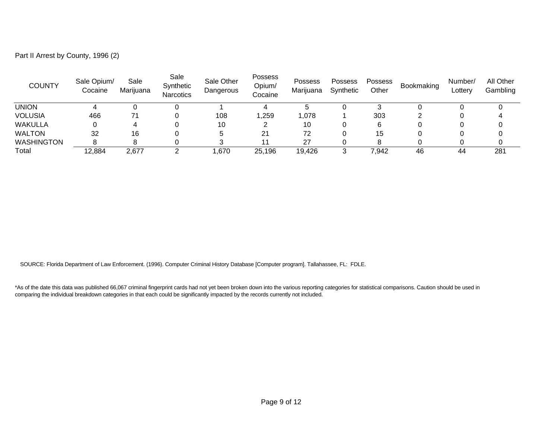| Part II Arrest by County, 1996 (2) |  |  |
|------------------------------------|--|--|
|------------------------------------|--|--|

| <b>COUNTY</b>     | Sale Opium/<br>Cocaine | Sale<br>Marijuana | Sale<br>Synthetic<br><b>Narcotics</b> | Sale Other<br>Dangerous | Possess<br>Opium/<br>Cocaine | <b>Possess</b><br>Marijuana | <b>Possess</b><br>Synthetic | <b>Possess</b><br>Other | Bookmaking | Number/<br>Lottery | All Other<br>Gambling |
|-------------------|------------------------|-------------------|---------------------------------------|-------------------------|------------------------------|-----------------------------|-----------------------------|-------------------------|------------|--------------------|-----------------------|
| union             |                        |                   |                                       |                         |                              |                             |                             |                         |            |                    |                       |
| <b>VOLUSIA</b>    | 466                    |                   |                                       | 108                     | ,259                         | 078, ا                      |                             | 303                     |            |                    |                       |
| <b>WAKULLA</b>    |                        |                   |                                       | 10                      |                              | 10                          |                             | 6                       |            |                    |                       |
| <b>WALTON</b>     | 32                     | 16                |                                       | .5                      | 21                           | 72                          |                             | 15                      |            |                    |                       |
| <b>WASHINGTON</b> |                        |                   |                                       |                         |                              | 27                          |                             | о                       |            |                    |                       |
| Total             | 12,884                 | 2,677             | ◠                                     | .670                    | 25,196                       | 19,426                      |                             | 7,942                   | 46         | 44                 | 281                   |

SOURCE: Florida Department of Law Enforcement. (1996). Computer Criminal History Database [Computer program]. Tallahassee, FL: FDLE.

\*As of the date this data was published 66,067 criminal fingerprint cards had not yet been broken down into the various reporting categories for statistical comparisons. Caution should be used in comparing the individual breakdown categories in that each could be significantly impacted by the records currently not included.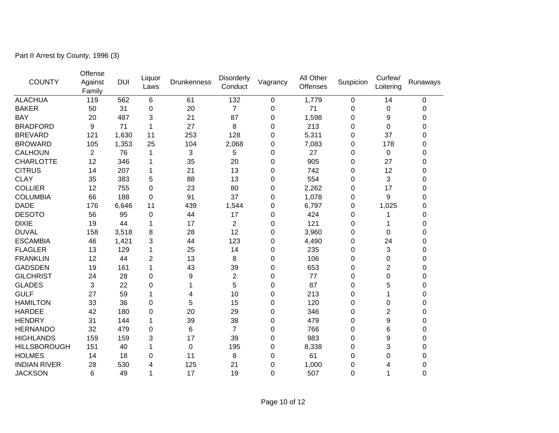Part II Arrest by County, 1996 (3)

| <b>COUNTY</b>       | Offense<br>Against<br>Family | <b>DUI</b> | Liquor<br>Laws | <b>Drunkenness</b> | Disorderly<br>Conduct | Vagrancy         | All Other<br><b>Offenses</b> | Suspicion | Curfew/<br>Loitering | Runaways |
|---------------------|------------------------------|------------|----------------|--------------------|-----------------------|------------------|------------------------------|-----------|----------------------|----------|
| <b>ALACHUA</b>      | 119                          | 562        | 6              | 61                 | 132                   | 0                | 1,779                        | 0         | 14                   | 0        |
| <b>BAKER</b>        | 50                           | 31         | 0              | 20                 | 7                     | 0                | 71                           | 0         | 0                    | 0        |
| <b>BAY</b>          | 20                           | 487        | 3              | 21                 | 87                    | 0                | 1,598                        | 0         | 9                    | 0        |
| <b>BRADFORD</b>     | 9                            | 71         | 1              | 27                 | 8                     | 0                | 213                          | 0         | 0                    | 0        |
| <b>BREVARD</b>      | 121                          | 1,630      | 11             | 253                | 128                   | 0                | 5,311                        | 0         | 37                   | 0        |
| <b>BROWARD</b>      | 105                          | 1,353      | 25             | 104                | 2,068                 | $\mathbf 0$      | 7,083                        | 0         | 178                  | 0        |
| <b>CALHOUN</b>      | $\overline{c}$               | 76         | 1              | 3                  | 5                     | $\mathbf 0$      | 27                           | 0         | 0                    | 0        |
| <b>CHARLOTTE</b>    | 12                           | 346        | 1              | 35                 | 20                    | 0                | 905                          | 0         | 27                   | 0        |
| <b>CITRUS</b>       | 14                           | 207        | 1              | 21                 | 13                    | $\boldsymbol{0}$ | 742                          | 0         | 12                   | 0        |
| <b>CLAY</b>         | 35                           | 383        | 5              | 88                 | 13                    | $\boldsymbol{0}$ | 554                          | 0         | 3                    | 0        |
| <b>COLLIER</b>      | 12                           | 755        | 0              | 23                 | 80                    | 0                | 2,262                        | $\Omega$  | 17                   | 0        |
| <b>COLUMBIA</b>     | 66                           | 188        | 0              | 91                 | 37                    | $\mathbf 0$      | 1,078                        | 0         | 9                    | 0        |
| <b>DADE</b>         | 176                          | 6,646      | 11             | 439                | 1,544                 | 0                | 6,797                        | 0         | 1,025                | 0        |
| <b>DESOTO</b>       | 56                           | 95         | 0              | 44                 | 17                    | $\mathbf 0$      | 424                          | 0         |                      | 0        |
| <b>DIXIE</b>        | 19                           | 44         | 1              | 17                 | $\overline{c}$        | 0                | 121                          | 0         |                      | 0        |
| <b>DUVAL</b>        | 158                          | 3,518      | 8              | 28                 | 12                    | $\mathbf 0$      | 3,960                        | 0         | 0                    | 0        |
| <b>ESCAMBIA</b>     | 46                           | 1,421      | 3              | 44                 | 123                   | $\boldsymbol{0}$ | 4,490                        | 0         | 24                   | 0        |
| <b>FLAGLER</b>      | 13                           | 129        | 1              | 25                 | 14                    | $\mathbf 0$      | 235                          | 0         | 3                    | 0        |
| <b>FRANKLIN</b>     | 12                           | 44         | $\overline{c}$ | 13                 | 8                     | $\Omega$         | 106                          | 0         | 0                    | 0        |
| <b>GADSDEN</b>      | 19                           | 161        | 1              | 43                 | 39                    | $\mathbf 0$      | 653                          | 0         | $\overline{2}$       | 0        |
| <b>GILCHRIST</b>    | 24                           | 28         | 0              | 9                  | $\overline{c}$        | 0                | 77                           | 0         | 0                    | 0        |
| <b>GLADES</b>       | 3                            | 22         | 0              | 1                  | 5                     | 0                | 87                           | 0         | 5                    | 0        |
| <b>GULF</b>         | 27                           | 59         | 1              | 4                  | 10                    | 0                | 213                          | 0         | 1                    | 0        |
| <b>HAMILTON</b>     | 33                           | 36         | 0              | 5                  | 15                    | $\mathbf 0$      | 120                          | 0         | 0                    | 0        |
| <b>HARDEE</b>       | 42                           | 180        | 0              | 20                 | 29                    | 0                | 346                          | 0         | $\overline{2}$       | 0        |
| <b>HENDRY</b>       | 31                           | 144        | 1              | 39                 | 38                    | 0                | 479                          | 0         | 9                    | 0        |
| <b>HERNANDO</b>     | 32                           | 479        | 0              | 6                  | 7                     | $\mathbf 0$      | 766                          | 0         | 6                    | 0        |
| <b>HIGHLANDS</b>    | 159                          | 159        | 3              | 17                 | 39                    | 0                | 983                          | 0         | 9                    | 0        |
| <b>HILLSBOROUGH</b> | 151                          | 40         | 1              | 0                  | 195                   | $\mathbf 0$      | 8,338                        | 0         | 3                    | 0        |
| <b>HOLMES</b>       | 14                           | 18         | 0              | 11                 | 8                     | $\mathbf 0$      | 61                           | 0         | 0                    | 0        |
| <b>INDIAN RIVER</b> | 28                           | 530        | 4              | 125                | 21                    | 0                | 1,000                        | 0         | 4                    | 0        |
| <b>JACKSON</b>      | 6                            | 49         | 1              | 17                 | 19                    | $\Omega$         | 507                          | $\Omega$  | 1                    | 0        |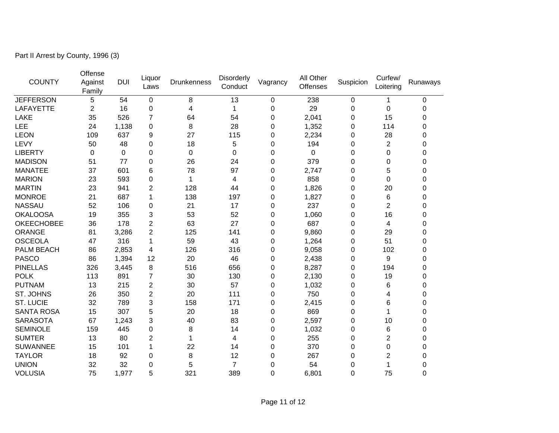Part II Arrest by County, 1996 (3)

| <b>COUNTY</b>     | Offense<br>Against<br>Family | <b>DUI</b> | Liquor<br>Laws | <b>Drunkenness</b> | Disorderly<br>Conduct | Vagrancy    | All Other<br>Offenses | Suspicion | Curfew/<br>Loitering | Runaways    |
|-------------------|------------------------------|------------|----------------|--------------------|-----------------------|-------------|-----------------------|-----------|----------------------|-------------|
| <b>JEFFERSON</b>  | 5                            | 54         | 0              | 8                  | 13                    | 0           | 238                   | $\Omega$  | $\mathbf{1}$         | 0           |
| LAFAYETTE         | $\overline{c}$               | 16         | 0              | 4                  | 1                     | 0           | 29                    | 0         | 0                    | 0           |
| <b>LAKE</b>       | 35                           | 526        | 7              | 64                 | 54                    | 0           | 2,041                 | 0         | 15                   | 0           |
| LEE               | 24                           | 1,138      | 0              | 8                  | 28                    | 0           | 1,352                 | 0         | 114                  | 0           |
| <b>LEON</b>       | 109                          | 637        | 9              | 27                 | 115                   | 0           | 2,234                 | 0         | 28                   | 0           |
| LEVY              | 50                           | 48         | 0              | 18                 | 5                     | 0           | 194                   | 0         | $\overline{c}$       | 0           |
| <b>LIBERTY</b>    | 0                            | 0          | 0              | 0                  | 0                     | 0           | 0                     | 0         | 0                    | 0           |
| <b>MADISON</b>    | 51                           | 77         | 0              | 26                 | 24                    | 0           | 379                   | 0         | 0                    | 0           |
| <b>MANATEE</b>    | 37                           | 601        | 6              | 78                 | 97                    | 0           | 2,747                 | 0         | 5                    | 0           |
| <b>MARION</b>     | 23                           | 593        | 0              | 1                  | 4                     | 0           | 858                   | 0         | 0                    | 0           |
| <b>MARTIN</b>     | 23                           | 941        | $\overline{2}$ | 128                | 44                    | 0           | 1,826                 | 0         | 20                   | 0           |
| <b>MONROE</b>     | 21                           | 687        | 1              | 138                | 197                   | 0           | 1,827                 | 0         | 6                    | 0           |
| <b>NASSAU</b>     | 52                           | 106        | 0              | 21                 | 17                    | 0           | 237                   | 0         | $\overline{2}$       | 0           |
| <b>OKALOOSA</b>   | 19                           | 355        | 3              | 53                 | 52                    | $\mathbf 0$ | 1,060                 | $\Omega$  | 16                   | 0           |
| <b>OKEECHOBEE</b> | 36                           | 178        | $\overline{2}$ | 63                 | 27                    | $\Omega$    | 687                   | 0         | 4                    | 0           |
| <b>ORANGE</b>     | 81                           | 3,286      | $\overline{2}$ | 125                | 141                   | 0           | 9,860                 | 0         | 29                   | 0           |
| <b>OSCEOLA</b>    | 47                           | 316        | 1              | 59                 | 43                    | $\mathbf 0$ | 1,264                 | 0         | 51                   | 0           |
| <b>PALM BEACH</b> | 86                           | 2,853      | 4              | 126                | 316                   | 0           | 9,058                 | $\Omega$  | 102                  | 0           |
| <b>PASCO</b>      | 86                           | 1,394      | 12             | 20                 | 46                    | 0           | 2,438                 | 0         | 9                    | $\mathbf 0$ |
| <b>PINELLAS</b>   | 326                          | 3,445      | 8              | 516                | 656                   | 0           | 8,287                 | 0         | 194                  | 0           |
| <b>POLK</b>       | 113                          | 891        | 7              | 30                 | 130                   | 0           | 2,130                 | 0         | 19                   | 0           |
| <b>PUTNAM</b>     | 13                           | 215        | $\overline{2}$ | 30                 | 57                    | $\mathbf 0$ | 1,032                 | 0         | 6                    | 0           |
| ST. JOHNS         | 26                           | 350        | $\overline{2}$ | 20                 | 111                   | 0           | 750                   | $\Omega$  | 4                    | 0           |
| <b>ST. LUCIE</b>  | 32                           | 789        | 3              | 158                | 171                   | 0           | 2,415                 | 0         | 6                    | 0           |
| <b>SANTA ROSA</b> | 15                           | 307        | 5              | 20                 | 18                    | $\mathbf 0$ | 869                   | 0         | 1                    | 0           |
| <b>SARASOTA</b>   | 67                           | 1,243      | 3              | 40                 | 83                    | 0           | 2,597                 | 0         | 10                   | 0           |
| <b>SEMINOLE</b>   | 159                          | 445        | 0              | 8                  | 14                    | 0           | 1,032                 | 0         | 6                    | 0           |
| <b>SUMTER</b>     | 13                           | 80         | $\overline{2}$ | 1                  | 4                     | 0           | 255                   | 0         | 2                    | 0           |
| <b>SUWANNEE</b>   | 15                           | 101        | $\mathbf{1}$   | 22                 | 14                    | 0           | 370                   | 0         | 0                    | 0           |
| <b>TAYLOR</b>     | 18                           | 92         | 0              | 8                  | 12                    | 0           | 267                   | 0         | 2                    | 0           |
| <b>UNION</b>      | 32                           | 32         | 0              | 5                  | 7                     | $\Omega$    | 54                    | 0         | 1                    | 0           |
| <b>VOLUSIA</b>    | 75                           | 1,977      | 5              | 321                | 389                   | 0           | 6,801                 | 0         | 75                   | 0           |